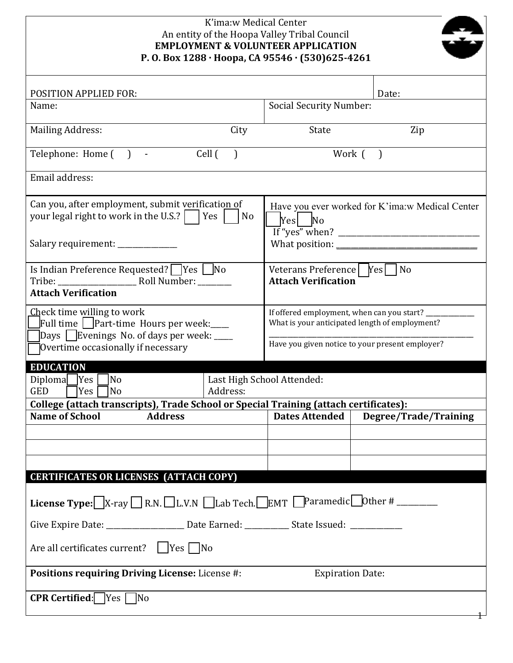| K'ima:w Medical Center<br>An entity of the Hoopa Valley Tribal Council<br><b>EMPLOYMENT &amp; VOLUNTEER APPLICATION</b><br>P.O.Box 1288 · Hoopa, CA 95546 · (530)625-4261 |                                                            |                                                                                                                                                            |                       |  |
|---------------------------------------------------------------------------------------------------------------------------------------------------------------------------|------------------------------------------------------------|------------------------------------------------------------------------------------------------------------------------------------------------------------|-----------------------|--|
| POSITION APPLIED FOR:                                                                                                                                                     |                                                            |                                                                                                                                                            | Date:                 |  |
| Name:                                                                                                                                                                     |                                                            | <b>Social Security Number:</b>                                                                                                                             |                       |  |
| <b>Mailing Address:</b>                                                                                                                                                   | City                                                       | State                                                                                                                                                      | Zip                   |  |
| Telephone: Home () -                                                                                                                                                      | Cell (<br>$\big)$                                          |                                                                                                                                                            | Work ()               |  |
| Email address:                                                                                                                                                            |                                                            |                                                                                                                                                            |                       |  |
| Can you, after employment, submit verification of<br>your legal right to work in the U.S.?     Yes  <br>No<br>Salary requirement: ____________                            |                                                            | Have you ever worked for K'ima:w Medical Center<br>$ Yes $ No                                                                                              |                       |  |
| Is Indian Preference Requested? $\Box$ Yes $\Box$ No<br><b>Attach Verification</b>                                                                                        |                                                            | Veterans Preference   Yes   No<br><b>Attach Verification</b>                                                                                               |                       |  |
| Check time willing to work<br>Full time   Part-time Hours per week:____<br>Days Evenings No. of days per week: ____<br>Overtime occasionally if necessary                 |                                                            | If offered employment, when can you start? __________<br>What is your anticipated length of employment?<br>Have you given notice to your present employer? |                       |  |
| Diploma Yes<br>No<br><b>GED</b><br>Yes<br> No                                                                                                                             | <b>EDUCATION</b><br>Last High School Attended:<br>Address: |                                                                                                                                                            |                       |  |
| College (attach transcripts), Trade School or Special Training (attach certificates):                                                                                     |                                                            |                                                                                                                                                            |                       |  |
| <b>Name of School</b><br><b>Address</b>                                                                                                                                   |                                                            | Dates Attended                                                                                                                                             | Degree/Trade/Training |  |
|                                                                                                                                                                           |                                                            |                                                                                                                                                            |                       |  |
|                                                                                                                                                                           |                                                            |                                                                                                                                                            |                       |  |
|                                                                                                                                                                           |                                                            |                                                                                                                                                            |                       |  |
| <b>CERTIFICATES OR LICENSES (ATTACH COPY)</b>                                                                                                                             |                                                            |                                                                                                                                                            |                       |  |
| <b>License Type:</b> $X$ -ray $\Box$ R.N. $\Box$ L.V.N $\Box$ Lab Tech. $\Box$ EMT $\Box$ Paramedic $\Box$ Other # _________                                              |                                                            |                                                                                                                                                            |                       |  |
| Give Expire Date: ____________________________Date Earned: ________________State Issued: _________________                                                                |                                                            |                                                                                                                                                            |                       |  |
| Are all certificates current? $\Box$ Yes $\Box$ No                                                                                                                        |                                                            |                                                                                                                                                            |                       |  |
| <b>Positions requiring Driving License:</b> License #:<br><b>Expiration Date:</b>                                                                                         |                                                            |                                                                                                                                                            |                       |  |
| <b>CPR Certified:</b> $Yes$ No                                                                                                                                            |                                                            |                                                                                                                                                            |                       |  |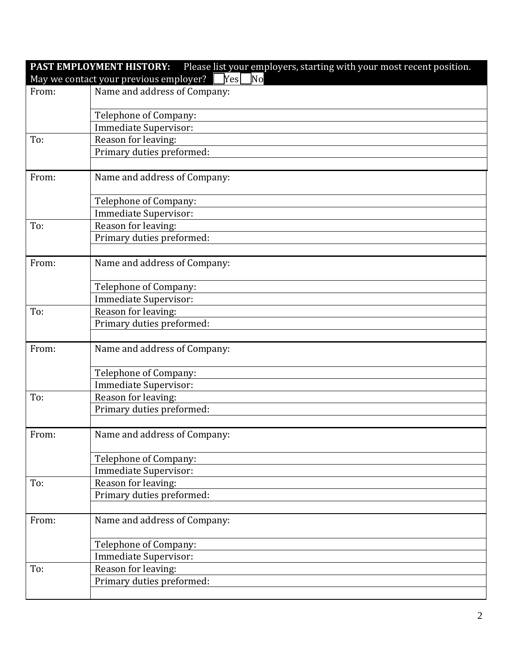| Please list your employers, starting with your most recent position.<br>PAST EMPLOYMENT HISTORY: |                              |  |
|--------------------------------------------------------------------------------------------------|------------------------------|--|
| May we contact your previous employer? Yes<br>$\overline{\text{No}}$                             |                              |  |
| From:                                                                                            | Name and address of Company: |  |
|                                                                                                  |                              |  |
|                                                                                                  | Telephone of Company:        |  |
|                                                                                                  | Immediate Supervisor:        |  |
| To:                                                                                              | Reason for leaving:          |  |
|                                                                                                  | Primary duties preformed:    |  |
|                                                                                                  |                              |  |
| From:                                                                                            | Name and address of Company: |  |
|                                                                                                  | Telephone of Company:        |  |
|                                                                                                  | Immediate Supervisor:        |  |
| To:                                                                                              | Reason for leaving:          |  |
|                                                                                                  | Primary duties preformed:    |  |
|                                                                                                  |                              |  |
| From:                                                                                            | Name and address of Company: |  |
|                                                                                                  | Telephone of Company:        |  |
|                                                                                                  | Immediate Supervisor:        |  |
| To:                                                                                              | Reason for leaving:          |  |
|                                                                                                  | Primary duties preformed:    |  |
|                                                                                                  |                              |  |
| From:                                                                                            | Name and address of Company: |  |
|                                                                                                  | Telephone of Company:        |  |
|                                                                                                  | Immediate Supervisor:        |  |
| To:                                                                                              | Reason for leaving:          |  |
|                                                                                                  | Primary duties preformed:    |  |
|                                                                                                  |                              |  |
| From:                                                                                            | Name and address of Company: |  |
|                                                                                                  |                              |  |
|                                                                                                  | Telephone of Company:        |  |
|                                                                                                  | Immediate Supervisor:        |  |
| To:                                                                                              | Reason for leaving:          |  |
|                                                                                                  | Primary duties preformed:    |  |
|                                                                                                  |                              |  |
| From:                                                                                            | Name and address of Company: |  |
|                                                                                                  | Telephone of Company:        |  |
|                                                                                                  | Immediate Supervisor:        |  |
| To:                                                                                              | Reason for leaving:          |  |
|                                                                                                  | Primary duties preformed:    |  |
|                                                                                                  |                              |  |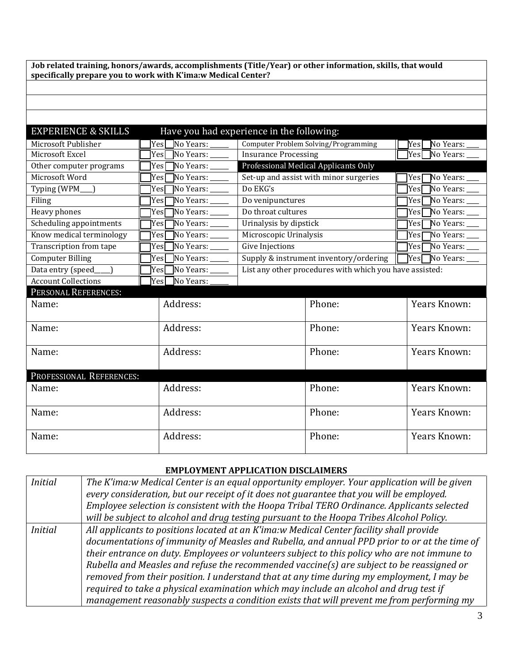**Job related training, honors/awards, accomplishments (Title/Year) or other information, skills, that would specifically prepare you to work with K'ima:w Medical Center?**

## EXPERIENCE & SKILLS Have you had experience in the following:

| Microsoft Publisher        | Yes□No Years: _____            | Computer Problem Solving/Programming                    | $\gamma$ es $\Box$ No Years: $\_$     |
|----------------------------|--------------------------------|---------------------------------------------------------|---------------------------------------|
| Microsoft Excel            | Yes <sup>No</sup> Years: _____ | <b>Insurance Processing</b>                             | ]Yes□No Years: _                      |
| Other computer programs    | Yes <sup>No Years:</sup>       | Professional Medical Applicants Only                    |                                       |
| Microsoft Word             | Yes□No Years: _____            | Set-up and assist with minor surgeries                  | Yes□No Years: ___                     |
| Typing (WPM_               | $Yes$ No Years: ______         | Do EKG's                                                | Yes□No Years: ___                     |
| Filing                     | $Yes$ No Years: ______         | Do venipunctures                                        | $Yes$ No Years: $\_\_$                |
| Heavy phones               | $Yes$ No Years: _____          | Do throat cultures                                      | $Yes$ No Years: ____                  |
| Scheduling appointments    | Yes <sup>No Years:</sup>       | Urinalysis by dipstick                                  | $\overline{\text{Yes}}$ No Years: ___ |
| Know medical terminology   | Yes <sup>No Years:</sup>       | Microscopic Urinalysis                                  |                                       |
| Transcription from tape    | $Yes$ No Years: ______         | Give Injections                                         | $Yes$ No Years: ___                   |
| <b>Computer Billing</b>    | $Yes$ No Years: _______        | Supply & instrument inventory/ordering $\  \Gamma \ $   | $Yes$ No Years: $\_\_$                |
| Data entry (speed_         | Yes No Years: _____            | List any other procedures with which you have assisted: |                                       |
| <b>Account Collections</b> | ]Yes□No Years: .               |                                                         |                                       |
| PERSONAL REFERENCES:       |                                |                                                         |                                       |
| Name:                      | Address:                       | Phone:                                                  | Years Known:                          |
|                            |                                |                                                         |                                       |
| Name:                      | Address:                       | Phone:                                                  | Years Known:                          |
|                            |                                |                                                         |                                       |
| Name:                      | Address:                       | Phone:                                                  | Years Known:                          |
|                            |                                |                                                         |                                       |
| PROFESSIONAL REFERENCES:   |                                |                                                         |                                       |
| Name:                      | Address:                       | Phone:                                                  | Years Known:                          |
|                            |                                |                                                         |                                       |
| Name:                      | Address:                       | Phone:                                                  | Years Known:                          |
|                            |                                |                                                         |                                       |
|                            |                                |                                                         |                                       |
|                            |                                |                                                         |                                       |
| Name:                      | Address:                       | Phone:                                                  | Years Known:                          |

## **EMPLOYMENT APPLICATION DISCLAIMERS**

| <i>Initial</i> | The K'ima:w Medical Center is an equal opportunity employer. Your application will be given  |
|----------------|----------------------------------------------------------------------------------------------|
|                | every consideration, but our receipt of it does not guarantee that you will be employed.     |
|                | Employee selection is consistent with the Hoopa Tribal TERO Ordinance. Applicants selected   |
|                | will be subject to alcohol and drug testing pursuant to the Hoopa Tribes Alcohol Policy.     |
| <i>Initial</i> | All applicants to positions located at an K'ima:w Medical Center facility shall provide      |
|                | documentations of immunity of Measles and Rubella, and annual PPD prior to or at the time of |
|                | their entrance on duty. Employees or volunteers subject to this policy who are not immune to |
|                | Rubella and Measles and refuse the recommended vaccine(s) are subject to be reassigned or    |
|                | removed from their position. I understand that at any time during my employment, I may be    |
|                | required to take a physical examination which may include an alcohol and drug test if        |
|                | management reasonably suspects a condition exists that will prevent me from performing my    |